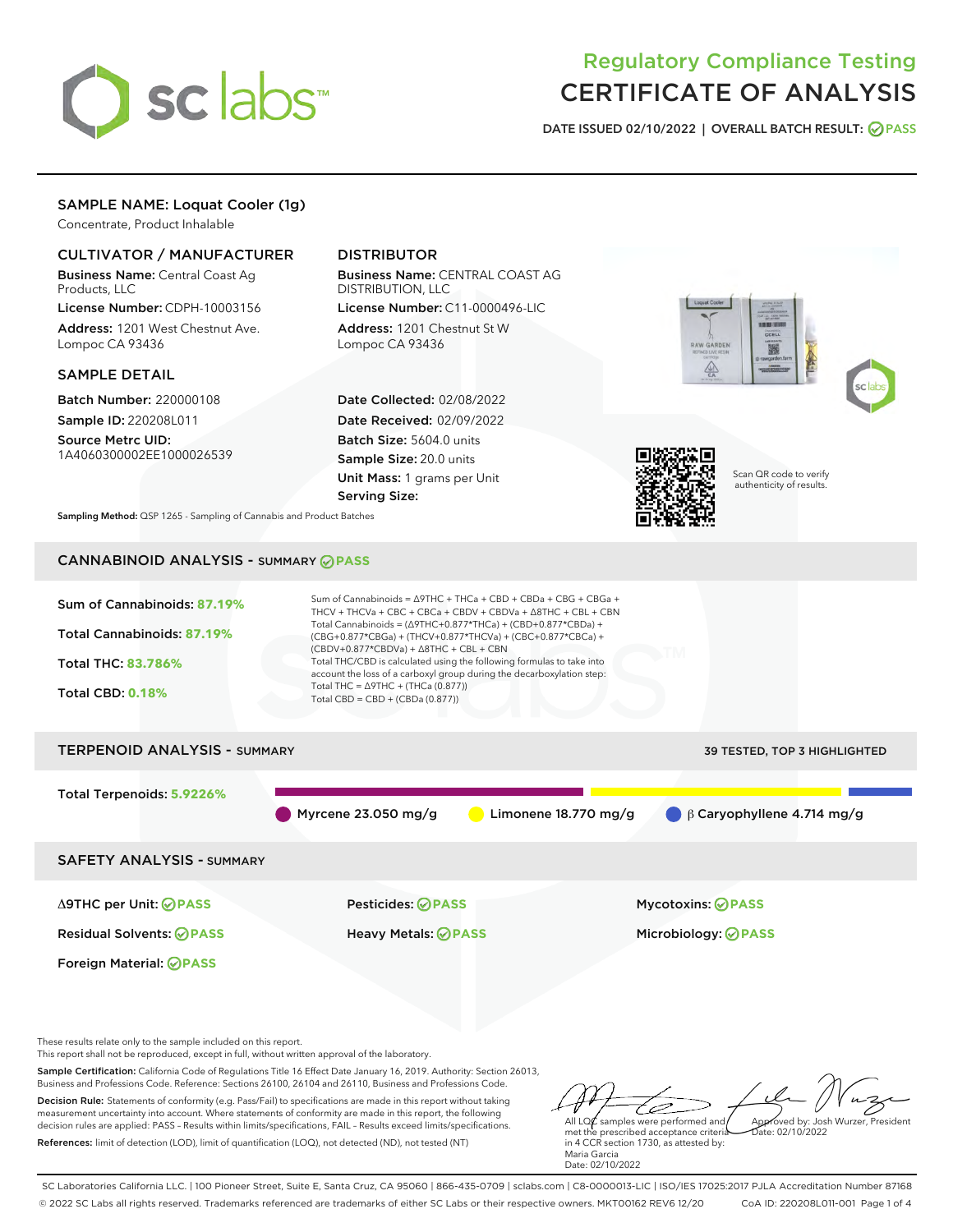

# Regulatory Compliance Testing CERTIFICATE OF ANALYSIS

DATE ISSUED 02/10/2022 | OVERALL BATCH RESULT: @ PASS

# SAMPLE NAME: Loquat Cooler (1g)

Concentrate, Product Inhalable

# CULTIVATOR / MANUFACTURER

Business Name: Central Coast Ag Products, LLC

License Number: CDPH-10003156 Address: 1201 West Chestnut Ave. Lompoc CA 93436

### SAMPLE DETAIL

Batch Number: 220000108 Sample ID: 220208L011

Source Metrc UID: 1A4060300002EE1000026539

# DISTRIBUTOR

Business Name: CENTRAL COAST AG DISTRIBUTION, LLC

License Number: C11-0000496-LIC Address: 1201 Chestnut St W Lompoc CA 93436

Date Collected: 02/08/2022 Date Received: 02/09/2022 Batch Size: 5604.0 units Sample Size: 20.0 units Unit Mass: 1 grams per Unit Serving Size:







Scan QR code to verify authenticity of results.

Sampling Method: QSP 1265 - Sampling of Cannabis and Product Batches

# CANNABINOID ANALYSIS - SUMMARY **PASS**



These results relate only to the sample included on this report.

This report shall not be reproduced, except in full, without written approval of the laboratory.

Sample Certification: California Code of Regulations Title 16 Effect Date January 16, 2019. Authority: Section 26013, Business and Professions Code. Reference: Sections 26100, 26104 and 26110, Business and Professions Code.

Decision Rule: Statements of conformity (e.g. Pass/Fail) to specifications are made in this report without taking measurement uncertainty into account. Where statements of conformity are made in this report, the following decision rules are applied: PASS – Results within limits/specifications, FAIL – Results exceed limits/specifications. References: limit of detection (LOD), limit of quantification (LOQ), not detected (ND), not tested (NT)

ستنسخ All LQ $\ell$  samples were performed and Approved by: Josh Wurzer, President  $\frac{1}{2}$ ate: 02/10/2022

met the prescribed acceptance criteria in 4 CCR section 1730, as attested by: Maria Garcia Date: 02/10/2022

SC Laboratories California LLC. | 100 Pioneer Street, Suite E, Santa Cruz, CA 95060 | 866-435-0709 | sclabs.com | C8-0000013-LIC | ISO/IES 17025:2017 PJLA Accreditation Number 87168 © 2022 SC Labs all rights reserved. Trademarks referenced are trademarks of either SC Labs or their respective owners. MKT00162 REV6 12/20 CoA ID: 220208L011-001 Page 1 of 4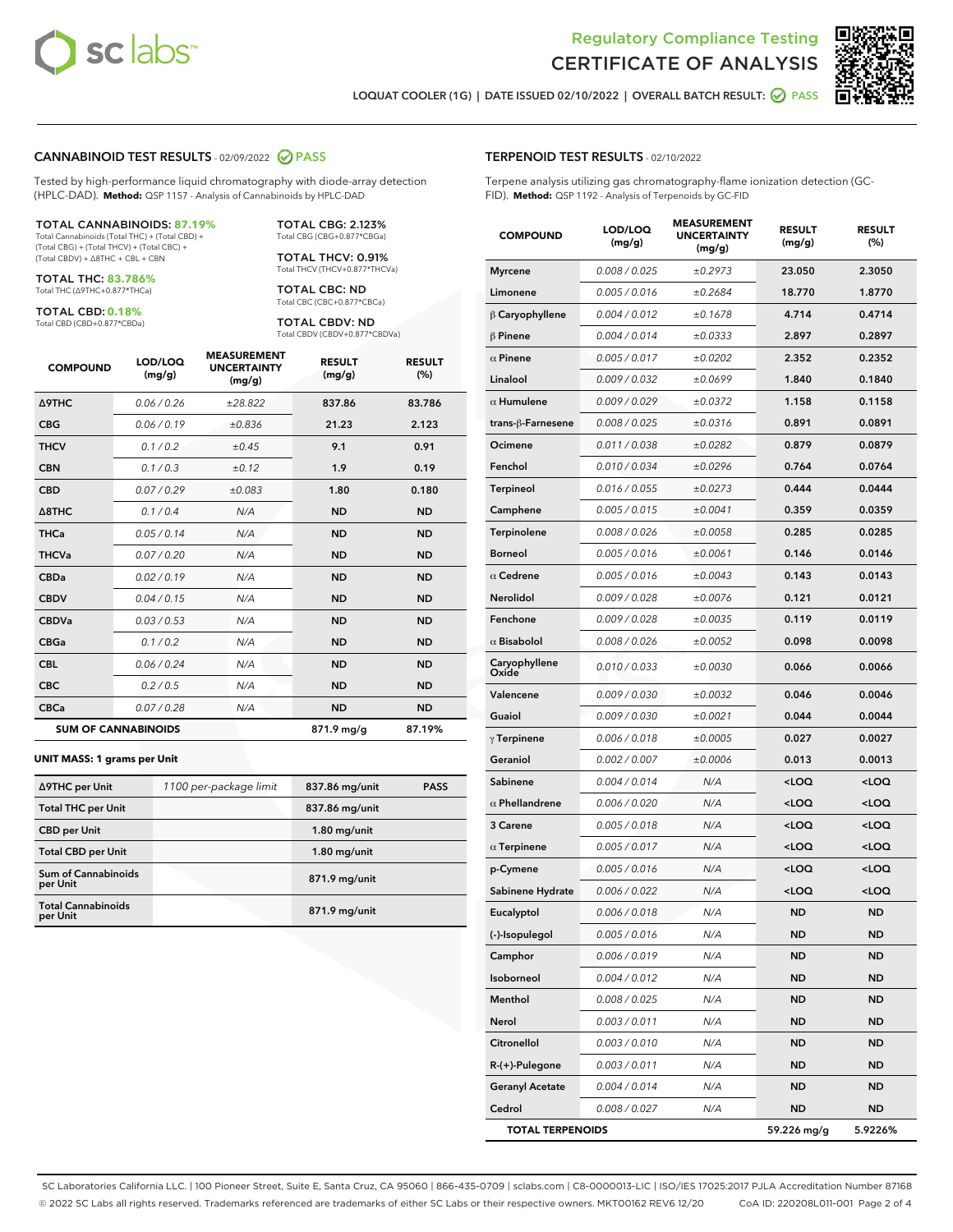

Terpene analysis utilizing gas chromatography-flame ionization detection (GC-



LOQUAT COOLER (1G) | DATE ISSUED 02/10/2022 | OVERALL BATCH RESULT: 2 PASS

TERPENOID TEST RESULTS - 02/10/2022

FID). **Method:** QSP 1192 - Analysis of Terpenoids by GC-FID

#### CANNABINOID TEST RESULTS - 02/09/2022 2 PASS

Tested by high-performance liquid chromatography with diode-array detection (HPLC-DAD). **Method:** QSP 1157 - Analysis of Cannabinoids by HPLC-DAD

#### TOTAL CANNABINOIDS: **87.19%**

Total Cannabinoids (Total THC) + (Total CBD) + (Total CBG) + (Total THCV) + (Total CBC) + (Total CBDV) + ∆8THC + CBL + CBN

TOTAL THC: **83.786%** Total THC (∆9THC+0.877\*THCa)

TOTAL CBD: **0.18%**

Total CBD (CBD+0.877\*CBDa)

TOTAL CBG: 2.123% Total CBG (CBG+0.877\*CBGa)

TOTAL THCV: 0.91% Total THCV (THCV+0.877\*THCVa)

TOTAL CBC: ND Total CBC (CBC+0.877\*CBCa)

TOTAL CBDV: ND Total CBDV (CBDV+0.877\*CBDVa)

| <b>COMPOUND</b>  | LOD/LOQ<br>(mg/g)          | <b>MEASUREMENT</b><br><b>UNCERTAINTY</b><br>(mg/g) | <b>RESULT</b><br>(mg/g) | <b>RESULT</b><br>(%) |
|------------------|----------------------------|----------------------------------------------------|-------------------------|----------------------|
| <b>A9THC</b>     | 0.06 / 0.26                | ±28.822                                            | 837.86                  | 83.786               |
| <b>CBG</b>       | 0.06/0.19                  | ±0.836                                             | 21.23                   | 2.123                |
| <b>THCV</b>      | 0.1 / 0.2                  | ±0.45                                              | 9.1                     | 0.91                 |
| <b>CBN</b>       | 0.1/0.3                    | ±0.12                                              | 1.9                     | 0.19                 |
| <b>CBD</b>       | 0.07/0.29                  | ±0.083                                             | 1.80                    | 0.180                |
| $\triangle$ 8THC | 0.1/0.4                    | N/A                                                | <b>ND</b>               | <b>ND</b>            |
| THCa             | 0.05/0.14                  | N/A                                                | <b>ND</b>               | <b>ND</b>            |
| <b>THCVa</b>     | 0.07/0.20                  | N/A                                                | <b>ND</b>               | <b>ND</b>            |
| <b>CBDa</b>      | 0.02/0.19                  | N/A                                                | <b>ND</b>               | <b>ND</b>            |
| <b>CBDV</b>      | 0.04 / 0.15                | N/A                                                | <b>ND</b>               | <b>ND</b>            |
| <b>CBDVa</b>     | 0.03/0.53                  | N/A                                                | <b>ND</b>               | <b>ND</b>            |
| <b>CBGa</b>      | 0.1/0.2                    | N/A                                                | <b>ND</b>               | <b>ND</b>            |
| <b>CBL</b>       | 0.06 / 0.24                | N/A                                                | <b>ND</b>               | <b>ND</b>            |
| <b>CBC</b>       | 0.2 / 0.5                  | N/A                                                | <b>ND</b>               | <b>ND</b>            |
| <b>CBCa</b>      | 0.07/0.28                  | N/A                                                | <b>ND</b>               | <b>ND</b>            |
|                  | <b>SUM OF CANNABINOIDS</b> |                                                    | 871.9 mg/g              | 87.19%               |

#### **UNIT MASS: 1 grams per Unit**

| ∆9THC per Unit                         | 1100 per-package limit | 837.86 mg/unit | <b>PASS</b> |
|----------------------------------------|------------------------|----------------|-------------|
| <b>Total THC per Unit</b>              |                        | 837.86 mg/unit |             |
| <b>CBD</b> per Unit                    |                        | $1.80$ mg/unit |             |
| <b>Total CBD per Unit</b>              |                        | $1.80$ mg/unit |             |
| <b>Sum of Cannabinoids</b><br>per Unit |                        | 871.9 mg/unit  |             |
| <b>Total Cannabinoids</b><br>per Unit  |                        | 871.9 mg/unit  |             |

| <b>COMPOUND</b>        | LOD/LOQ<br>(mg/g)    | <b>MEASUREMENT</b><br>UNCERTAINTY<br>(mg/g) | <b>RESULT</b><br>(mg/g)                         | <b>RESULT</b><br>(%) |
|------------------------|----------------------|---------------------------------------------|-------------------------------------------------|----------------------|
| <b>Myrcene</b>         | 0.008 / 0.025        | ±0.2973                                     | 23.050                                          | 2.3050               |
| Limonene               | 0.005 / 0.016        | ±0.2684                                     | 18.770                                          | 1.8770               |
| $\beta$ Caryophyllene  | 0.004 / 0.012        | ±0.1678                                     | 4.714                                           | 0.4714               |
| $\beta$ Pinene         | 0.004 / 0.014        | ±0.0333                                     | 2.897                                           | 0.2897               |
| $\alpha$ Pinene        | 0.005 / 0.017        | ±0.0202                                     | 2.352                                           | 0.2352               |
| Linalool               | 0.009 / 0.032        | ±0.0699                                     | 1.840                                           | 0.1840               |
| $\alpha$ Humulene      | 0.009/0.029          | ±0.0372                                     | 1.158                                           | 0.1158               |
| trans-ß-Farnesene      | 0.008 / 0.025        | ±0.0316                                     | 0.891                                           | 0.0891               |
| Ocimene                | 0.011/0.038          | ±0.0282                                     | 0.879                                           | 0.0879               |
| Fenchol                | 0.010 / 0.034        | ±0.0296                                     | 0.764                                           | 0.0764               |
| Terpineol              | 0.016 / 0.055        | ±0.0273                                     | 0.444                                           | 0.0444               |
| Camphene               | 0.005 / 0.015        | ±0.0041                                     | 0.359                                           | 0.0359               |
| Terpinolene            | 0.008 / 0.026        | ±0.0058                                     | 0.285                                           | 0.0285               |
| <b>Borneol</b>         | 0.005 / 0.016        | ±0.0061                                     | 0.146                                           | 0.0146               |
| $\alpha$ Cedrene       | 0.005 / 0.016        | ±0.0043                                     | 0.143                                           | 0.0143               |
| <b>Nerolidol</b>       | 0.009 / 0.028        | ±0.0076                                     | 0.121                                           | 0.0121               |
| Fenchone               | 0.009 / 0.028        | ±0.0035                                     | 0.119                                           | 0.0119               |
| $\alpha$ Bisabolol     | 0.008 / 0.026        | ±0.0052                                     | 0.098                                           | 0.0098               |
| Caryophyllene<br>Oxide | 0.010 / 0.033        | ±0.0030                                     | 0.066                                           | 0.0066               |
| Valencene              | <i>0.009 / 0.030</i> | ±0.0032                                     | 0.046                                           | 0.0046               |
| Guaiol                 | 0.009 / 0.030        | ±0.0021                                     | 0.044                                           | 0.0044               |
| $\gamma$ Terpinene     | 0.006 / 0.018        | ±0.0005                                     | 0.027                                           | 0.0027               |
| Geraniol               | 0.002 / 0.007        | ±0.0006                                     | 0.013                                           | 0.0013               |
| Sabinene               | 0.004 / 0.014        | N/A                                         | <loq< th=""><th><loq< th=""></loq<></th></loq<> | <loq< th=""></loq<>  |
| $\alpha$ Phellandrene  | 0.006 / 0.020        | N/A                                         | <loq< th=""><th><loq< th=""></loq<></th></loq<> | <loq< th=""></loq<>  |
| 3 Carene               | 0.005 / 0.018        | N/A                                         | <loq< th=""><th><loq< th=""></loq<></th></loq<> | <loq< th=""></loq<>  |
| $\alpha$ Terpinene     | 0.005 / 0.017        | N/A                                         | <loq< th=""><th><loq< th=""></loq<></th></loq<> | <loq< th=""></loq<>  |
| p-Cymene               | 0.005 / 0.016        | N/A                                         | <loq< th=""><th><loq< th=""></loq<></th></loq<> | <loq< th=""></loq<>  |
| Sabinene Hydrate       | 0.006 / 0.022        | N/A                                         | <loq< th=""><th><loq< th=""></loq<></th></loq<> | <loq< th=""></loq<>  |
| Eucalyptol             | 0.006 / 0.018        | N/A                                         | ND                                              | ND                   |
| (-)-Isopulegol         | 0.005 / 0.016        | N/A                                         | ND                                              | <b>ND</b>            |
| Camphor                | 0.006 / 0.019        | N/A                                         | ND                                              | <b>ND</b>            |
| Isoborneol             | 0.004 / 0.012        | N/A                                         | ND                                              | ND                   |
| Menthol                | 0.008 / 0.025        | N/A                                         | ND                                              | ND                   |
| Nerol                  | 0.003 / 0.011        | N/A                                         | ND                                              | ND                   |
| Citronellol            | 0.003 / 0.010        | N/A                                         | ND                                              | ND                   |
| $R-(+)$ -Pulegone      | 0.003 / 0.011        | N/A                                         | ND                                              | ND                   |
| <b>Geranyl Acetate</b> | 0.004 / 0.014        | N/A                                         | ND                                              | ND                   |

Cedrol 0.008 / 0.027 N/A ND ND TOTAL TERPENOIDS 59.226 mg/g 5.9226%

SC Laboratories California LLC. | 100 Pioneer Street, Suite E, Santa Cruz, CA 95060 | 866-435-0709 | sclabs.com | C8-0000013-LIC | ISO/IES 17025:2017 PJLA Accreditation Number 87168 © 2022 SC Labs all rights reserved. Trademarks referenced are trademarks of either SC Labs or their respective owners. MKT00162 REV6 12/20 CoA ID: 220208L011-001 Page 2 of 4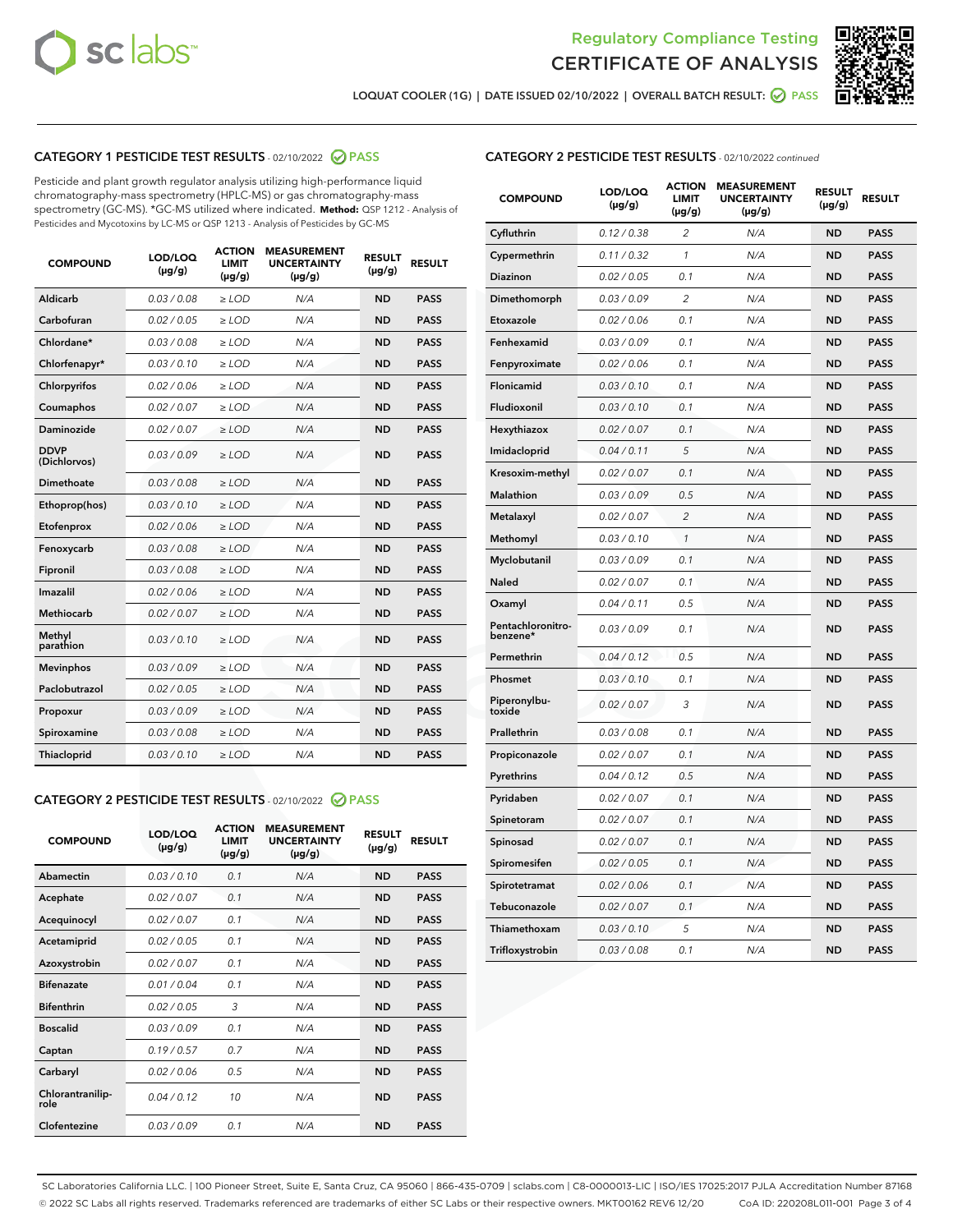



LOQUAT COOLER (1G) | DATE ISSUED 02/10/2022 | OVERALL BATCH RESULT: @ PASS

# CATEGORY 1 PESTICIDE TEST RESULTS - 02/10/2022 2 PASS

Pesticide and plant growth regulator analysis utilizing high-performance liquid chromatography-mass spectrometry (HPLC-MS) or gas chromatography-mass spectrometry (GC-MS). \*GC-MS utilized where indicated. **Method:** QSP 1212 - Analysis of Pesticides and Mycotoxins by LC-MS or QSP 1213 - Analysis of Pesticides by GC-MS

| <b>COMPOUND</b>             | LOD/LOQ<br>$(\mu g/g)$ | <b>ACTION</b><br><b>LIMIT</b><br>$(\mu g/g)$ | <b>MEASUREMENT</b><br><b>UNCERTAINTY</b><br>$(\mu g/g)$ | <b>RESULT</b><br>$(\mu g/g)$ | <b>RESULT</b> |
|-----------------------------|------------------------|----------------------------------------------|---------------------------------------------------------|------------------------------|---------------|
| Aldicarb                    | 0.03 / 0.08            | $\geq$ LOD                                   | N/A                                                     | <b>ND</b>                    | <b>PASS</b>   |
| Carbofuran                  | 0.02 / 0.05            | ≥ LOD                                        | N/A                                                     | <b>ND</b>                    | <b>PASS</b>   |
| Chlordane*                  | 0.03 / 0.08            | ≥ LOD                                        | N/A                                                     | <b>ND</b>                    | <b>PASS</b>   |
| Chlorfenapyr*               | 0.03/0.10              | ≥ LOD                                        | N/A                                                     | <b>ND</b>                    | <b>PASS</b>   |
| Chlorpyrifos                | 0.02/0.06              | $>$ LOD                                      | N/A                                                     | <b>ND</b>                    | <b>PASS</b>   |
| Coumaphos                   | 0.02 / 0.07            | $\geq$ LOD                                   | N/A                                                     | <b>ND</b>                    | <b>PASS</b>   |
| Daminozide                  | 0.02/0.07              | $>$ LOD                                      | N/A                                                     | <b>ND</b>                    | <b>PASS</b>   |
| <b>DDVP</b><br>(Dichlorvos) | 0.03/0.09              | $\geq$ LOD                                   | N/A                                                     | <b>ND</b>                    | <b>PASS</b>   |
| <b>Dimethoate</b>           | 0.03/0.08              | $\geq$ LOD                                   | N/A                                                     | <b>ND</b>                    | <b>PASS</b>   |
| Ethoprop(hos)               | 0.03/0.10              | $>$ LOD                                      | N/A                                                     | <b>ND</b>                    | <b>PASS</b>   |
| Etofenprox                  | 0.02 / 0.06            | $\geq$ LOD                                   | N/A                                                     | <b>ND</b>                    | <b>PASS</b>   |
| Fenoxycarb                  | 0.03 / 0.08            | $\geq$ LOD                                   | N/A                                                     | <b>ND</b>                    | <b>PASS</b>   |
| Fipronil                    | 0.03 / 0.08            | $\geq$ LOD                                   | N/A                                                     | <b>ND</b>                    | <b>PASS</b>   |
| Imazalil                    | 0.02 / 0.06            | $>$ LOD                                      | N/A                                                     | <b>ND</b>                    | <b>PASS</b>   |
| <b>Methiocarb</b>           | 0.02 / 0.07            | ≥ LOD                                        | N/A                                                     | <b>ND</b>                    | <b>PASS</b>   |
| Methyl<br>parathion         | 0.03/0.10              | $\geq$ LOD                                   | N/A                                                     | <b>ND</b>                    | <b>PASS</b>   |
| <b>Mevinphos</b>            | 0.03/0.09              | $\geq$ LOD                                   | N/A                                                     | <b>ND</b>                    | <b>PASS</b>   |
| Paclobutrazol               | 0.02 / 0.05            | $\geq$ LOD                                   | N/A                                                     | <b>ND</b>                    | <b>PASS</b>   |
| Propoxur                    | 0.03/0.09              | $>$ LOD                                      | N/A                                                     | <b>ND</b>                    | <b>PASS</b>   |
| Spiroxamine                 | 0.03 / 0.08            | $\geq$ LOD                                   | N/A                                                     | <b>ND</b>                    | <b>PASS</b>   |
| Thiacloprid                 | 0.03/0.10              | $\geq$ LOD                                   | N/A                                                     | <b>ND</b>                    | <b>PASS</b>   |
|                             |                        |                                              |                                                         |                              |               |

# CATEGORY 2 PESTICIDE TEST RESULTS - 02/10/2022 2 PASS

| <b>COMPOUND</b>          | LOD/LOQ<br>$(\mu g/g)$ | <b>ACTION</b><br>LIMIT<br>$(\mu g/g)$ | <b>MEASUREMENT</b><br><b>UNCERTAINTY</b><br>$(\mu g/g)$ | <b>RESULT</b><br>$(\mu g/g)$ | <b>RESULT</b> |
|--------------------------|------------------------|---------------------------------------|---------------------------------------------------------|------------------------------|---------------|
| Abamectin                | 0.03/0.10              | 0.1                                   | N/A                                                     | <b>ND</b>                    | <b>PASS</b>   |
| Acephate                 | 0.02/0.07              | 0.1                                   | N/A                                                     | <b>ND</b>                    | <b>PASS</b>   |
| Acequinocyl              | 0.02/0.07              | 0.1                                   | N/A                                                     | <b>ND</b>                    | <b>PASS</b>   |
| Acetamiprid              | 0.02 / 0.05            | 0.1                                   | N/A                                                     | <b>ND</b>                    | <b>PASS</b>   |
| Azoxystrobin             | 0.02/0.07              | 0.1                                   | N/A                                                     | <b>ND</b>                    | <b>PASS</b>   |
| <b>Bifenazate</b>        | 0.01/0.04              | 0.1                                   | N/A                                                     | <b>ND</b>                    | <b>PASS</b>   |
| <b>Bifenthrin</b>        | 0.02 / 0.05            | 3                                     | N/A                                                     | <b>ND</b>                    | <b>PASS</b>   |
| <b>Boscalid</b>          | 0.03/0.09              | 0.1                                   | N/A                                                     | <b>ND</b>                    | <b>PASS</b>   |
| Captan                   | 0.19/0.57              | 0.7                                   | N/A                                                     | <b>ND</b>                    | <b>PASS</b>   |
| Carbaryl                 | 0.02/0.06              | 0.5                                   | N/A                                                     | <b>ND</b>                    | <b>PASS</b>   |
| Chlorantranilip-<br>role | 0.04/0.12              | 10                                    | N/A                                                     | <b>ND</b>                    | <b>PASS</b>   |
| Clofentezine             | 0.03/0.09              | 0.1                                   | N/A                                                     | <b>ND</b>                    | <b>PASS</b>   |

| <b>CATEGORY 2 PESTICIDE TEST RESULTS</b> - 02/10/2022 continued |
|-----------------------------------------------------------------|
|-----------------------------------------------------------------|

| <b>COMPOUND</b>               | LOD/LOQ<br>(µg/g) | <b>ACTION</b><br>LIMIT<br>$(\mu g/g)$ | <b>MEASUREMENT</b><br><b>UNCERTAINTY</b><br>$(\mu g/g)$ | <b>RESULT</b><br>(µg/g) | <b>RESULT</b> |
|-------------------------------|-------------------|---------------------------------------|---------------------------------------------------------|-------------------------|---------------|
| Cyfluthrin                    | 0.12 / 0.38       | $\overline{2}$                        | N/A                                                     | <b>ND</b>               | <b>PASS</b>   |
| Cypermethrin                  | 0.11 / 0.32       | $\mathcal{I}$                         | N/A                                                     | <b>ND</b>               | <b>PASS</b>   |
| Diazinon                      | 0.02 / 0.05       | 0.1                                   | N/A                                                     | ND                      | <b>PASS</b>   |
| Dimethomorph                  | 0.03 / 0.09       | $\overline{2}$                        | N/A                                                     | <b>ND</b>               | <b>PASS</b>   |
| Etoxazole                     | 0.02 / 0.06       | 0.1                                   | N/A                                                     | <b>ND</b>               | <b>PASS</b>   |
| Fenhexamid                    | 0.03 / 0.09       | 0.1                                   | N/A                                                     | <b>ND</b>               | <b>PASS</b>   |
| Fenpyroximate                 | 0.02 / 0.06       | 0.1                                   | N/A                                                     | <b>ND</b>               | <b>PASS</b>   |
| Flonicamid                    | 0.03/0.10         | 0.1                                   | N/A                                                     | <b>ND</b>               | <b>PASS</b>   |
| Fludioxonil                   | 0.03/0.10         | 0.1                                   | N/A                                                     | <b>ND</b>               | <b>PASS</b>   |
| Hexythiazox                   | 0.02 / 0.07       | 0.1                                   | N/A                                                     | <b>ND</b>               | <b>PASS</b>   |
| Imidacloprid                  | 0.04 / 0.11       | 5                                     | N/A                                                     | <b>ND</b>               | <b>PASS</b>   |
| Kresoxim-methyl               | 0.02 / 0.07       | 0.1                                   | N/A                                                     | <b>ND</b>               | <b>PASS</b>   |
| <b>Malathion</b>              | 0.03 / 0.09       | 0.5                                   | N/A                                                     | ND                      | <b>PASS</b>   |
| Metalaxyl                     | 0.02 / 0.07       | $\overline{2}$                        | N/A                                                     | <b>ND</b>               | <b>PASS</b>   |
| Methomyl                      | 0.03 / 0.10       | 1                                     | N/A                                                     | <b>ND</b>               | <b>PASS</b>   |
| Myclobutanil                  | 0.03 / 0.09       | 0.1                                   | N/A                                                     | ND                      | <b>PASS</b>   |
| <b>Naled</b>                  | 0.02 / 0.07       | 0.1                                   | N/A                                                     | <b>ND</b>               | <b>PASS</b>   |
| Oxamyl                        | 0.04 / 0.11       | 0.5                                   | N/A                                                     | <b>ND</b>               | <b>PASS</b>   |
| Pentachloronitro-<br>benzene* | 0.03 / 0.09       | 0.1                                   | N/A                                                     | <b>ND</b>               | <b>PASS</b>   |
| Permethrin                    | 0.04 / 0.12       | 0.5                                   | N/A                                                     | ND                      | <b>PASS</b>   |
| Phosmet                       | 0.03 / 0.10       | 0.1                                   | N/A                                                     | <b>ND</b>               | <b>PASS</b>   |
| Piperonylbu-<br>toxide        | 0.02 / 0.07       | 3                                     | N/A                                                     | <b>ND</b>               | <b>PASS</b>   |
| Prallethrin                   | 0.03 / 0.08       | 0.1                                   | N/A                                                     | ND                      | <b>PASS</b>   |
| Propiconazole                 | 0.02 / 0.07       | 0.1                                   | N/A                                                     | <b>ND</b>               | <b>PASS</b>   |
| Pyrethrins                    | 0.04 / 0.12       | 0.5                                   | N/A                                                     | <b>ND</b>               | <b>PASS</b>   |
| Pyridaben                     | 0.02 / 0.07       | 0.1                                   | N/A                                                     | ND                      | <b>PASS</b>   |
| Spinetoram                    | 0.02 / 0.07       | 0.1                                   | N/A                                                     | <b>ND</b>               | <b>PASS</b>   |
| Spinosad                      | 0.02 / 0.07       | 0.1                                   | N/A                                                     | <b>ND</b>               | <b>PASS</b>   |
| Spiromesifen                  | 0.02 / 0.05       | 0.1                                   | N/A                                                     | <b>ND</b>               | <b>PASS</b>   |
| Spirotetramat                 | 0.02 / 0.06       | 0.1                                   | N/A                                                     | ND                      | <b>PASS</b>   |
| Tebuconazole                  | 0.02 / 0.07       | 0.1                                   | N/A                                                     | ND                      | <b>PASS</b>   |
| Thiamethoxam                  | 0.03 / 0.10       | 5                                     | N/A                                                     | ND                      | <b>PASS</b>   |
| Trifloxystrobin               | 0.03 / 0.08       | 0.1                                   | N/A                                                     | ND                      | <b>PASS</b>   |

SC Laboratories California LLC. | 100 Pioneer Street, Suite E, Santa Cruz, CA 95060 | 866-435-0709 | sclabs.com | C8-0000013-LIC | ISO/IES 17025:2017 PJLA Accreditation Number 87168 © 2022 SC Labs all rights reserved. Trademarks referenced are trademarks of either SC Labs or their respective owners. MKT00162 REV6 12/20 CoA ID: 220208L011-001 Page 3 of 4